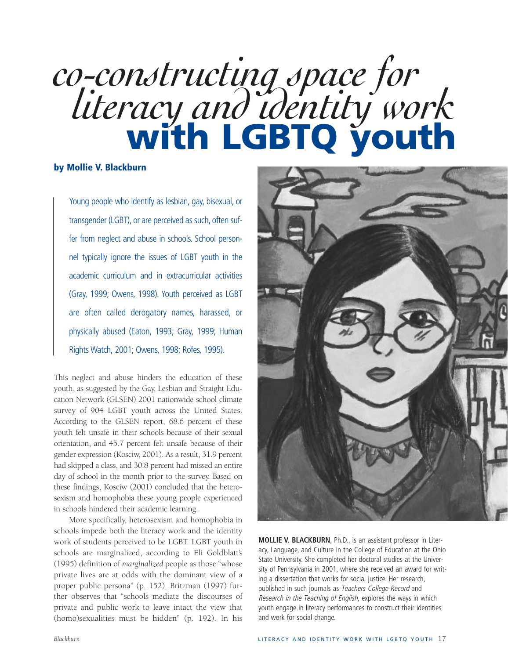# *co-constructing space for literacy and identity work* **with LGBTQ youth**

## **by Mollie V. Blackburn**

Young people who identify as lesbian, gay, bisexual, or transgender (LGBT), or are perceived as such, often suffer from neglect and abuse in schools. School personnel typically ignore the issues of LGBT youth in the academic curriculum and in extracurricular activities (Gray, 1999; Owens, 1998). Youth perceived as LGBT are often called derogatory names, harassed, or physically abused (Eaton, 1993; Gray, 1999; Human Rights Watch, 2001; Owens, 1998; Rofes, 1995).

This neglect and abuse hinders the education of these youth, as suggested by the Gay, Lesbian and Straight Education Network (GLSEN) 2001 nationwide school climate survey of 904 LGBT youth across the United States. According to the GLSEN report, 68.6 percent of these youth felt unsafe in their schools because of their sexual orientation, and 45.7 percent felt unsafe because of their gender expression (Kosciw, 2001). As a result, 31.9 percent had skipped a class, and 30.8 percent had missed an entire day of school in the month prior to the survey. Based on these findings, Kosciw (2001) concluded that the heterosexism and homophobia these young people experienced in schools hindered their academic learning.

More specifically, heterosexism and homophobia in schools impede both the literacy work and the identity work of students perceived to be LGBT. LGBT youth in schools are marginalized, according to Eli Goldblatt's (1995) definition of *marginalized* people as those "whose private lives are at odds with the dominant view of a proper public persona" (p. 152). Britzman (1997) further observes that "schools mediate the discourses of private and public work to leave intact the view that (homo)sexualities must be hidden" (p. 192). In his



**MOLLIE V. BLACKBURN**, Ph.D., is an assistant professor in Literacy, Language, and Culture in the College of Education at the Ohio State University. She completed her doctoral studies at the University of Pennsylvania in 2001, where she received an award for writing a dissertation that works for social justice. Her research, published in such journals as Teachers College Record and Research in the Teaching of English, explores the ways in which youth engage in literacy performances to construct their identities and work for social change.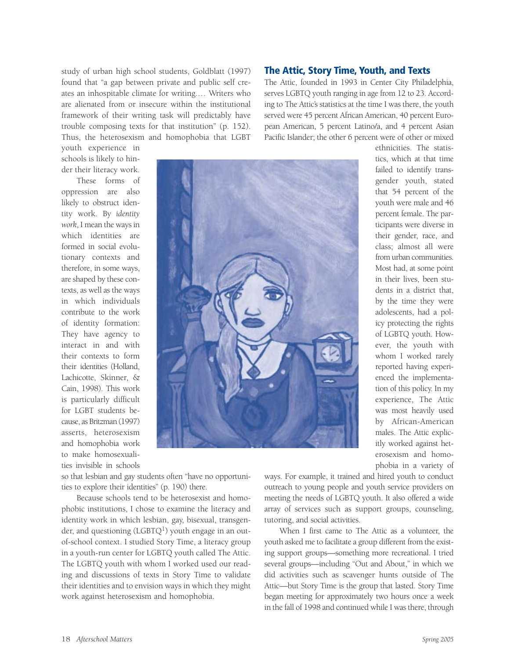study of urban high school students, Goldblatt (1997) found that "a gap between private and public self creates an inhospitable climate for writing.… Writers who are alienated from or insecure within the institutional framework of their writing task will predictably have trouble composing texts for that institution" (p. 152). Thus, the heterosexism and homophobia that LGBT

youth experience in schools is likely to hinder their literacy work.

These forms of oppression are also likely to obstruct identity work. By *identity work*, I mean the ways in which identities are formed in social evolutionary contexts and therefore, in some ways, are shaped by these contexts, as well as the ways in which individuals contribute to the work of identity formation: They have agency to interact in and with their contexts to form their identities (Holland, Lachicotte, Skinner, & Cain, 1998). This work is particularly difficult for LGBT students because, as Britzman (1997) asserts, heterosexism and homophobia work to make homosexualities invisible in schools



so that lesbian and gay students often "have no opportunities to explore their identities" (p. 190) there.

Because schools tend to be heterosexist and homophobic institutions, I chose to examine the literacy and identity work in which lesbian, gay, bisexual, transgender, and questioning  $(LGBTQ<sup>1</sup>)$  youth engage in an outof-school context. I studied Story Time, a literacy group in a youth-run center for LGBTQ youth called The Attic. The LGBTQ youth with whom I worked used our reading and discussions of texts in Story Time to validate their identities and to envision ways in which they might work against heterosexism and homophobia.

# **The Attic, Story Time, Youth, and Texts**

The Attic, founded in 1993 in Center City Philadelphia, serves LGBTQ youth ranging in age from 12 to 23. According to The Attic's statistics at the time I was there, the youth served were 45 percent African American, 40 percent European American, 5 percent Latino/a, and 4 percent Asian Pacific Islander; the other 6 percent were of other or mixed

> tics, which at that time failed to identify transgender youth, stated that 54 percent of the youth were male and 46 percent female. The participants were diverse in their gender, race, and class; almost all were from urban communities. Most had, at some point in their lives, been students in a district that, by the time they were adolescents, had a policy protecting the rights of LGBTQ youth. However, the youth with whom I worked rarely reported having experienced the implementation of this policy. In my experience, The Attic was most heavily used by African-American males. The Attic explicitly worked against heterosexism and homophobia in a variety of

ethnicities. The statis-

ways. For example, it trained and hired youth to conduct outreach to young people and youth service providers on meeting the needs of LGBTQ youth. It also offered a wide array of services such as support groups, counseling, tutoring, and social activities.

When I first came to The Attic as a volunteer, the youth asked me to facilitate a group different from the existing support groups—something more recreational. I tried several groups—including "Out and About," in which we did activities such as scavenger hunts outside of The Attic—but Story Time is the group that lasted. Story Time began meeting for approximately two hours once a week in the fall of 1998 and continued while I was there, through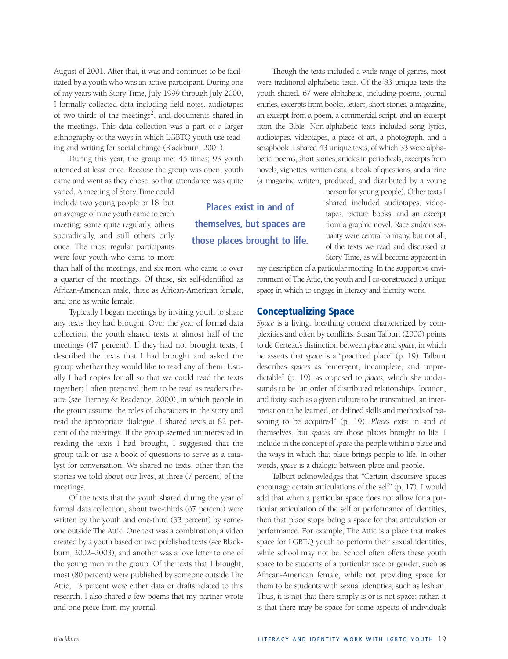August of 2001. After that, it was and continues to be facilitated by a youth who was an active participant. During one of my years with Story Time, July 1999 through July 2000, I formally collected data including field notes, audiotapes of two-thirds of the meetings<sup>2</sup>, and documents shared in the meetings. This data collection was a part of a larger ethnography of the ways in which LGBTQ youth use reading and writing for social change (Blackburn, 2001).

During this year, the group met 45 times; 93 youth attended at least once. Because the group was open, youth came and went as they chose, so that attendance was quite

varied. A meeting of Story Time could include two young people or 18, but an average of nine youth came to each meeting: some quite regularly, others sporadically, and still others only once. The most regular participants were four youth who came to more

than half of the meetings, and six more who came to over a quarter of the meetings. Of these, six self-identified as African-American male, three as African-American female, and one as white female.

Typically I began meetings by inviting youth to share any texts they had brought. Over the year of formal data collection, the youth shared texts at almost half of the meetings (47 percent). If they had not brought texts, I described the texts that I had brought and asked the group whether they would like to read any of them. Usually I had copies for all so that we could read the texts together; I often prepared them to be read as readers theatre (see Tierney & Readence, 2000), in which people in the group assume the roles of characters in the story and read the appropriate dialogue. I shared texts at 82 percent of the meetings. If the group seemed uninterested in reading the texts I had brought, I suggested that the group talk or use a book of questions to serve as a catalyst for conversation. We shared no texts, other than the stories we told about our lives, at three (7 percent) of the meetings.

Of the texts that the youth shared during the year of formal data collection, about two-thirds (67 percent) were written by the youth and one-third (33 percent) by someone outside The Attic. One text was a combination, a video created by a youth based on two published texts (see Blackburn, 2002–2003), and another was a love letter to one of the young men in the group. Of the texts that I brought, most (80 percent) were published by someone outside The Attic; 13 percent were either data or drafts related to this research. I also shared a few poems that my partner wrote and one piece from my journal.

Though the texts included a wide range of genres, most were traditional alphabetic texts. Of the 83 unique texts the youth shared, 67 were alphabetic, including poems, journal entries, excerpts from books, letters, short stories, a magazine, an excerpt from a poem, a commercial script, and an excerpt from the Bible. Non-alphabetic texts included song lyrics, audiotapes, videotapes, a piece of art, a photograph, and a scrapbook. I shared 43 unique texts, of which 33 were alphabetic: poems, short stories, articles in periodicals, excerpts from novels, vignettes, written data, a book of questions, and a 'zine (a magazine written, produced, and distributed by a young

> person for young people). Other texts I shared included audiotapes, videotapes, picture books, and an excerpt from a graphic novel. Race and/or sexuality were central to many, but not all, of the texts we read and discussed at Story Time, as will become apparent in

my description of a particular meeting. In the supportive environment of The Attic, the youth and I co-constructed a unique space in which to engage in literacy and identity work.

#### **Conceptualizing Space**

**Places exist in and of**

**themselves, but spaces are**

**those places brought to life.**

*Space* is a living, breathing context characterized by complexities and often by conflicts. Susan Talburt (2000) points to de Certeau's distinction between *place* and *space,* in which he asserts that *space* is a "practiced place" (p. 19). Talburt describes *spaces* as "emergent, incomplete, and unpredictable" (p. 19), as opposed to *places,* which she understands to be "an order of distributed relationships, location, and fixity, such as a given culture to be transmitted, an interpretation to be learned, or defined skills and methods of reasoning to be acquired" (p. 19). *Places* exist in and of themselves, but *spaces* are those places brought to life. I include in the concept of *space*the people within a place and the ways in which that place brings people to life. In other words, *space* is a dialogic between place and people.

Talburt acknowledges that "Certain discursive spaces encourage certain articulations of the self" (p. 17). I would add that when a particular space does not allow for a particular articulation of the self or performance of identities, then that place stops being a space for that articulation or performance. For example, The Attic is a place that makes space for LGBTQ youth to perform their sexual identities, while school may not be. School often offers these youth space to be students of a particular race or gender, such as African-American female, while not providing space for them to be students with sexual identities, such as lesbian. Thus, it is not that there simply is or is not space; rather, it is that there may be space for some aspects of individuals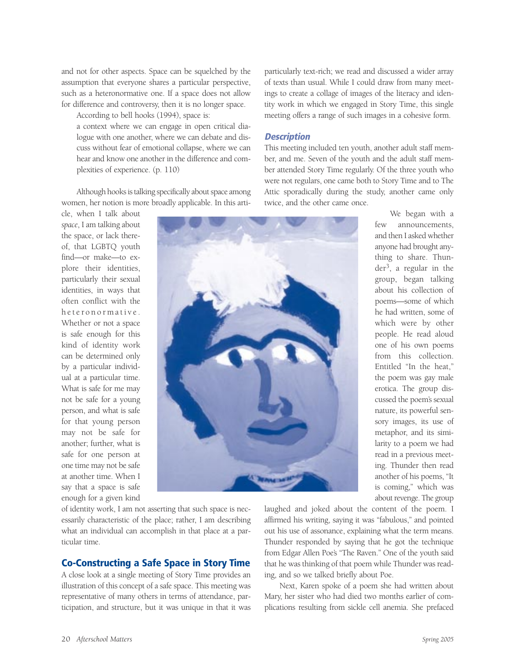and not for other aspects. Space can be squelched by the assumption that everyone shares a particular perspective, such as a heteronormative one. If a space does not allow for difference and controversy, then it is no longer space.

According to bell hooks (1994), space is:

a context where we can engage in open critical dialogue with one another, where we can debate and discuss without fear of emotional collapse, where we can hear and know one another in the difference and complexities of experience. (p. 110)

Although hooks is talking specifically about space among women, her notion is more broadly applicable. In this arti-

cle, when I talk about *space*, I am talking about the space, or lack thereof, that LGBTQ youth find—or make—to explore their identities, particularly their sexual identities, in ways that often conflict with the heteronormative. Whether or not a space is safe enough for this kind of identity work can be determined only by a particular individual at a particular time. What is safe for me may not be safe for a young person, and what is safe for that young person may not be safe for another; further, what is safe for one person at one time may not be safe at another time. When I say that a space is safe enough for a given kind

particularly text-rich; we read and discussed a wider array of texts than usual. While I could draw from many meetings to create a collage of images of the literacy and identity work in which we engaged in Story Time, this single meeting offers a range of such images in a cohesive form.

#### **Description**

This meeting included ten youth, another adult staff member, and me. Seven of the youth and the adult staff member attended Story Time regularly. Of the three youth who were not regulars, one came both to Story Time and to The Attic sporadically during the study, another came only twice, and the other came once.



few announcements, and then I asked whether anyone had brought anything to share. Thun $der<sup>3</sup>$ , a regular in the group, began talking about his collection of poems—some of which he had written, some of which were by other people. He read aloud one of his own poems from this collection. Entitled "In the heat," the poem was gay male erotica. The group discussed the poem's sexual nature, its powerful sensory images, its use of metaphor, and its similarity to a poem we had read in a previous meeting. Thunder then read another of his poems, "It is coming," which was about revenge. The group

We began with a

of identity work, I am not asserting that such space is necessarily characteristic of the place; rather, I am describing what an individual can accomplish in that place at a particular time.

# **Co-Constructing a Safe Space in Story Time**

A close look at a single meeting of Story Time provides an illustration of this concept of a safe space. This meeting was representative of many others in terms of attendance, participation, and structure, but it was unique in that it was laughed and joked about the content of the poem. I affirmed his writing, saying it was "fabulous," and pointed out his use of assonance, explaining what the term means. Thunder responded by saying that he got the technique from Edgar Allen Poe's "The Raven." One of the youth said that he was thinking of that poem while Thunder was reading, and so we talked briefly about Poe.

Next, Karen spoke of a poem she had written about Mary, her sister who had died two months earlier of complications resulting from sickle cell anemia. She prefaced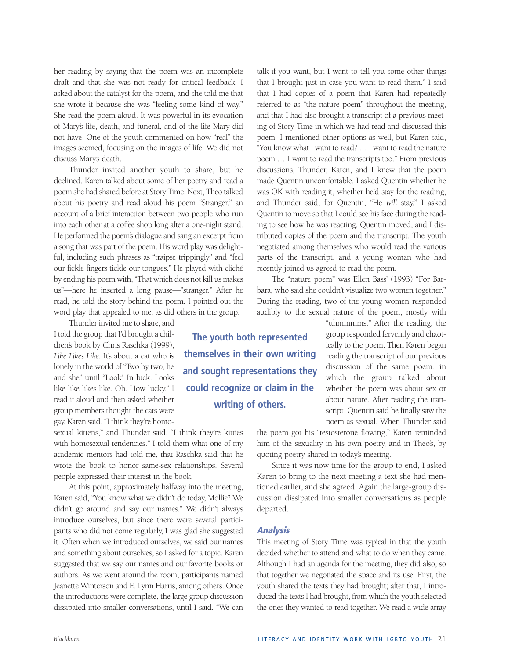her reading by saying that the poem was an incomplete draft and that she was not ready for critical feedback. I asked about the catalyst for the poem, and she told me that she wrote it because she was "feeling some kind of way." She read the poem aloud. It was powerful in its evocation of Mary's life, death, and funeral, and of the life Mary did not have. One of the youth commented on how "real" the images seemed, focusing on the images of life. We did not discuss Mary's death.

Thunder invited another youth to share, but he declined. Karen talked about some of her poetry and read a poem she had shared before at Story Time. Next, Theo talked about his poetry and read aloud his poem "Stranger," an account of a brief interaction between two people who run into each other at a coffee shop long after a one-night stand. He performed the poem's dialogue and sang an excerpt from a song that was part of the poem. His word play was delightful, including such phrases as "traipse trippingly" and "feel our fickle fingers tickle our tongues." He played with cliché by ending his poem with, "That which does not kill us makes us"—here he inserted a long pause—"stranger." After he read, he told the story behind the poem. I pointed out the word play that appealed to me, as did others in the group.

Thunder invited me to share, and

I told the group that I'd brought a children's book by Chris Raschka (1999), Like Likes Like. It's about a cat who is lonely in the world of "Two by two, he and she" until "Look! In luck. Looks like like likes like. Oh. How lucky." I read it aloud and then asked whether group members thought the cats were gay. Karen said, "I think they're homo-

sexual kittens," and Thunder said, "I think they're kitties with homosexual tendencies." I told them what one of my academic mentors had told me, that Raschka said that he wrote the book to honor same-sex relationships. Several people expressed their interest in the book.

At this point, approximately halfway into the meeting, Karen said, "You know what we didn't do today, Mollie? We didn't go around and say our names." We didn't always introduce ourselves, but since there were several participants who did not come regularly, I was glad she suggested it. Often when we introduced ourselves, we said our names and something about ourselves, so I asked for a topic. Karen suggested that we say our names and our favorite books or authors. As we went around the room, participants named Jeanette Winterson and E. Lynn Harris, among others. Once the introductions were complete, the large group discussion dissipated into smaller conversations, until I said, "We can

talk if you want, but I want to tell you some other things that I brought just in case you want to read them." I said that I had copies of a poem that Karen had repeatedly referred to as "the nature poem" throughout the meeting, and that I had also brought a transcript of a previous meeting of Story Time in which we had read and discussed this poem. I mentioned other options as well, but Karen said, "You know what I want to read? … I want to read the nature poem.… I want to read the transcripts too." From previous discussions, Thunder, Karen, and I knew that the poem made Quentin uncomfortable. I asked Quentin whether he was OK with reading it, whether he'd stay for the reading, and Thunder said, for Quentin, "He *will* stay." I asked Quentin to move so that I could see his face during the reading to see how he was reacting. Quentin moved, and I distributed copies of the poem and the transcript. The youth negotiated among themselves who would read the various parts of the transcript, and a young woman who had recently joined us agreed to read the poem.

The "nature poem" was Ellen Bass' (1993) "For Barbara, who said she couldn't visualize two women together." During the reading, two of the young women responded audibly to the sexual nature of the poem, mostly with

"uhmmmms." After the reading, the group responded fervently and chaotically to the poem. Then Karen began reading the transcript of our previous discussion of the same poem, in which the group talked about whether the poem was about sex or about nature. After reading the transcript, Quentin said he finally saw the poem as sexual. When Thunder said

the poem got his "testosterone flowing," Karen reminded him of the sexuality in his own poetry, and in Theo's, by quoting poetry shared in today's meeting.

Since it was now time for the group to end, I asked Karen to bring to the next meeting a text she had mentioned earlier, and she agreed. Again the large-group discussion dissipated into smaller conversations as people departed.

#### **Analysis**

This meeting of Story Time was typical in that the youth decided whether to attend and what to do when they came. Although I had an agenda for the meeting, they did also, so that together we negotiated the space and its use. First, the youth shared the texts they had brought; after that, I introduced the texts I had brought, from which the youth selected the ones they wanted to read together. We read a wide array

**The youth both represented themselves in their own writing and sought representations they could recognize or claim in the writing of others.**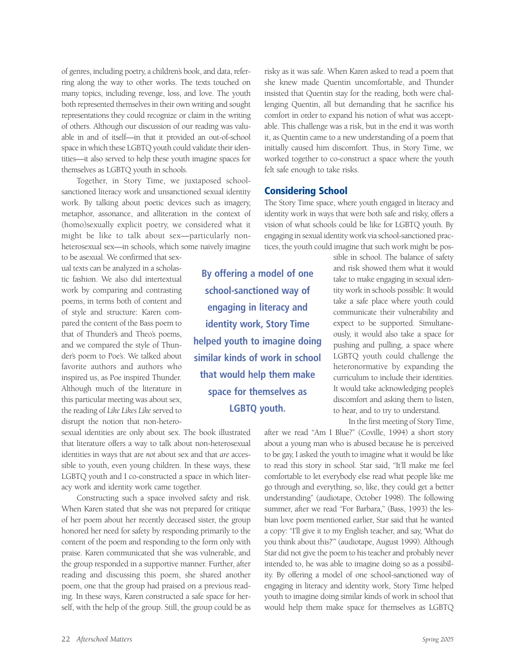of genres, including poetry, a children's book, and data, referring along the way to other works. The texts touched on many topics, including revenge, loss, and love. The youth both represented themselves in their own writing and sought representations they could recognize or claim in the writing of others. Although our discussion of our reading was valuable in and of itself—in that it provided an out-of-school space in which these LGBTQ youth could validate their identities—it also served to help these youth imagine spaces for themselves as LGBTQ youth in schools.

Together, in Story Time, we juxtaposed schoolsanctioned literacy work and unsanctioned sexual identity work. By talking about poetic devices such as imagery, metaphor, assonance, and alliteration in the context of (homo)sexually explicit poetry, we considered what it might be like to talk about sex—particularly nonheterosexual sex—in schools, which some naively imagine

to be asexual. We confirmed that sexual texts can be analyzed in a scholastic fashion. We also did intertextual work by comparing and contrasting poems, in terms both of content and of style and structure: Karen compared the content of the Bass poem to that of Thunder's and Theo's poems, and we compared the style of Thunder's poem to Poe's. We talked about favorite authors and authors who inspired us, as Poe inspired Thunder. Although much of the literature in this particular meeting was about sex, the reading of *Like Likes Like* served to disrupt the notion that non-hetero-

sexual identities are only about sex. The book illustrated that literature offers a way to talk about non-heterosexual identities in ways that are *not* about sex and that *are* accessible to youth, even young children. In these ways, these LGBTQ youth and I co-constructed a space in which literacy work and identity work came together.

Constructing such a space involved safety and risk. When Karen stated that she was not prepared for critique of her poem about her recently deceased sister, the group honored her need for safety by responding primarily to the content of the poem and responding to the form only with praise. Karen communicated that she was vulnerable, and the group responded in a supportive manner. Further, after reading and discussing this poem, she shared another poem, one that the group had praised on a previous reading. In these ways, Karen constructed a safe space for herself, with the help of the group. Still, the group could be as risky as it was safe. When Karen asked to read a poem that she knew made Quentin uncomfortable, and Thunder insisted that Quentin stay for the reading, both were challenging Quentin, all but demanding that he sacrifice his comfort in order to expand his notion of what was acceptable. This challenge was a risk, but in the end it was worth it, as Quentin came to a new understanding of a poem that initially caused him discomfort. Thus, in Story Time, we worked together to co-construct a space where the youth felt safe enough to take risks.

## **Considering School**

**By offering a model of one**

**school-sanctioned way of engaging in literacy and**

**identity work, Story Time**

**helped youth to imagine doing similar kinds of work in school**

**that would help them make**

**space for themselves as LGBTQ youth.**

The Story Time space, where youth engaged in literacy and identity work in ways that were both safe and risky, offers a vision of what schools could be like for LGBTQ youth. By engaging in sexual identity work via school-sanctioned practices, the youth could imagine that such work might be pos-

> sible in school. The balance of safety and risk showed them what it would take to make engaging in sexual identity work in schools possible: It would take a safe place where youth could communicate their vulnerability and expect to be supported. Simultaneously, it would also take a space for pushing and pulling, a space where LGBTQ youth could challenge the heteronormative by expanding the curriculum to include their identities. It would take acknowledging people's discomfort and asking them to listen, to hear, and to try to understand.

In the first meeting of Story Time,

after we read "Am I Blue?" (Coville, 1994) a short story about a young man who is abused because he is perceived to be gay, I asked the youth to imagine what it would be like to read this story in school. Star said, "It'll make me feel comfortable to let everybody else read what people like me go through and everything, so, like, they could get a better understanding" (audiotape, October 1998). The following summer, after we read "For Barbara," (Bass, 1993) the lesbian love poem mentioned earlier, Star said that he wanted a copy: "I'll give it to my English teacher, and say, 'What do you think about this?'" (audiotape, August 1999). Although Star did not give the poem to his teacher and probably never intended to, he was able to imagine doing so as a possibility. By offering a model of one school-sanctioned way of engaging in literacy and identity work, Story Time helped youth to imagine doing similar kinds of work in school that would help them make space for themselves as LGBTQ